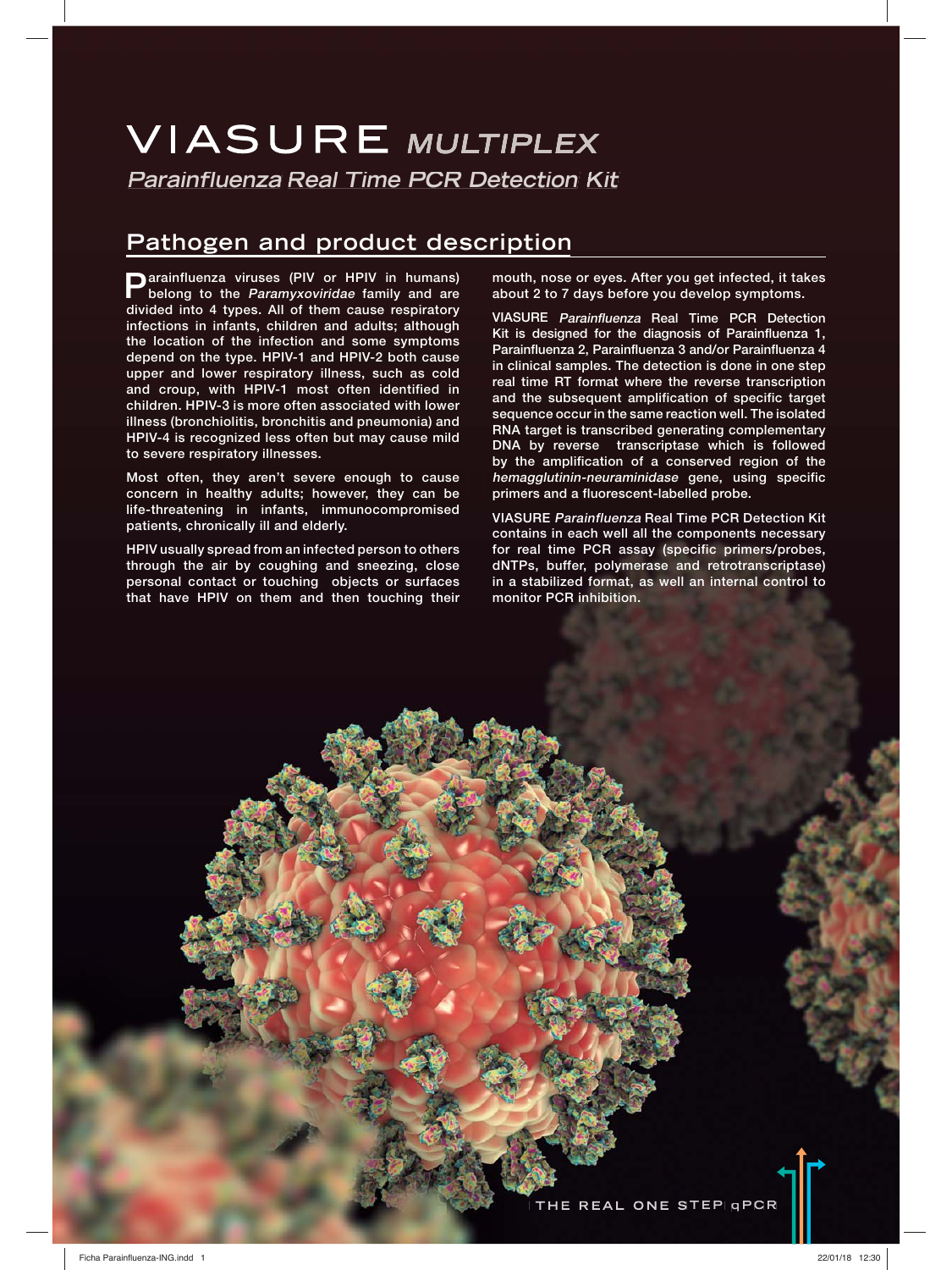# **VIASURE MULTIPLEX Parainfluenza Real Time PCR Detection Kit**

# **Pathogen and product description**

**Parainfluenza viruses (PIV or HPIV in humans) belong to the Paramyxoviridae family and are divided into 4 types. All of them cause respiratory infections in infants, children and adults; although the location of the infection and some symptoms depend on the type. HPIV-1 and HPIV-2 both cause upper and lower respiratory illness, such as cold and croup, with HPIV-1 most often identified in children. HPIV-3 is more often associated with lower illness (bronchiolitis, bronchitis and pneumonia) and HPIV-4 is recognized less often but may cause mild to severe respiratory illnesses.**

**Most often, they aren't severe enough to cause concern in healthy adults; however, they can be life-threatening in infants, immunocompromised patients, chronically ill and elderly.**

**HPIV usually spread from an infected person to others through the air by coughing and sneezing, close personal contact or touching objects or surfaces that have HPIV on them and then touching their** 

**mouth, nose or eyes. After you get infected, it takes about 2 to 7 days before you develop symptoms.**

**VIASURE Parainfluenza Real Time PCR Detection Kit is designed for the diagnosis of Parainfluenza 1, Parainfluenza 2, Parainfluenza 3 and/or Parainfluenza 4 in clinical samples. The detection is done in one step real time RT format where the reverse transcription and the subsequent amplification of specific target sequence occur in the same reaction well. The isolated RNA target is transcribed generating complementary DNA by reverse transcriptase which is followed by the amplification of a conserved region of the hemagglutinin-neuraminidase gene, using specific primers and a fluorescent-labelled probe.**

**VIASURE Parainfluenza Real Time PCR Detection Kit contains in each well all the components necessary for real time PCR assay (specific primers/probes, dNTPs, buffer, polymerase and retrotranscriptase) in a stabilized format, as well an internal control to monitor PCR inhibition.**